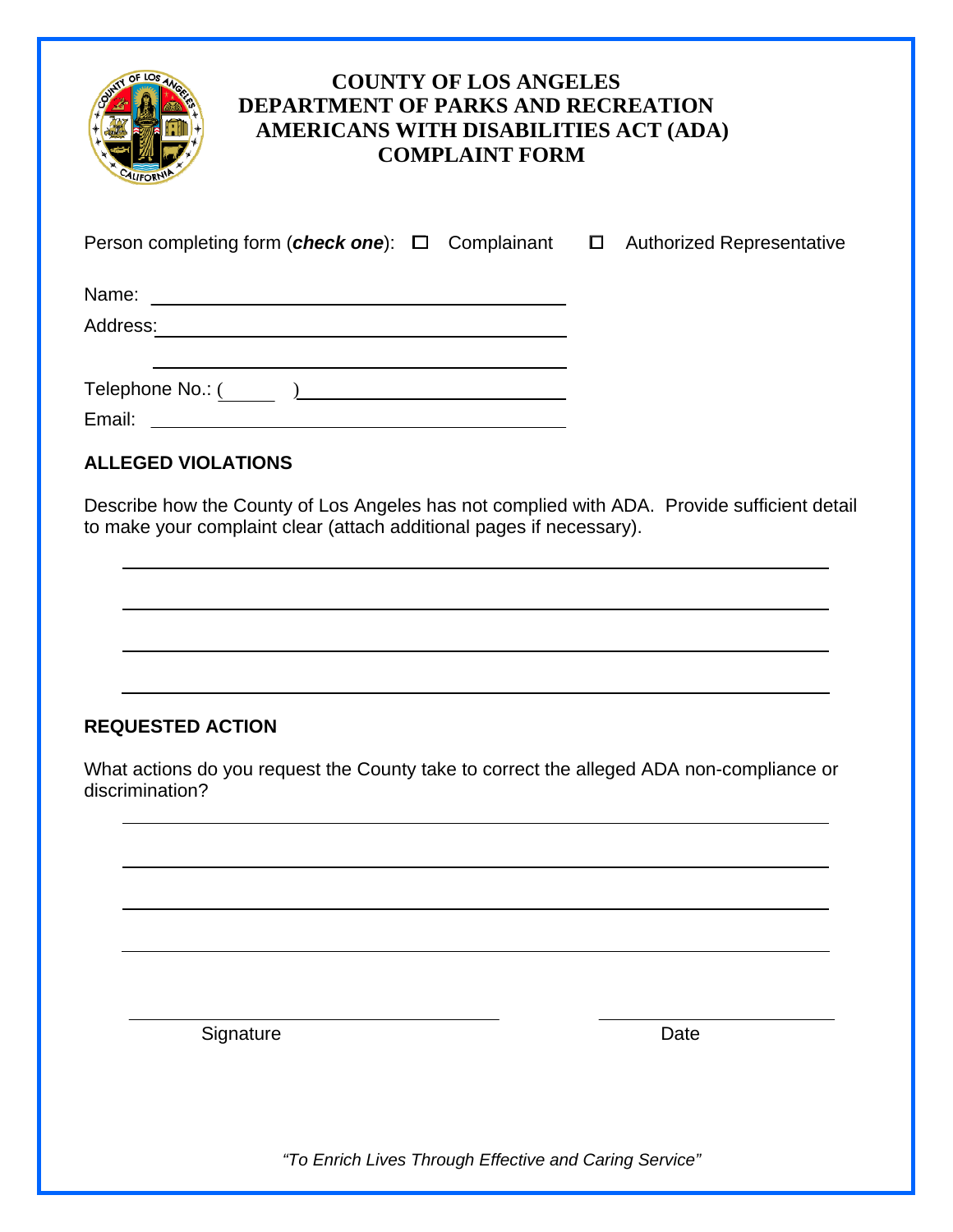

# **COUNTY OF LOS ANGELES DEPARTMENT OF PARKS AND RECREATION AMERICANS WITH DISABILITIES ACT (ADA) COMPLAINT FORM**

| Person completing form (check one): $\Box$ Complainant $\Box$ | <b>Authorized Representative</b> |
|---------------------------------------------------------------|----------------------------------|
|                                                               |                                  |
| Address:                                                      |                                  |
| Telephone No.: ( )                                            |                                  |
| Email:                                                        |                                  |

## **ALLEGED VIOLATIONS**

Describe how the County of Los Angeles has not complied with ADA. Provide sufficient detail to make your complaint clear (attach additional pages if necessary).

### **REQUESTED ACTION**

What actions do you request the County take to correct the alleged ADA non-compliance or discrimination?

Signature Date **Date** 

*"To Enrich Lives Through Effective and Caring Service"*